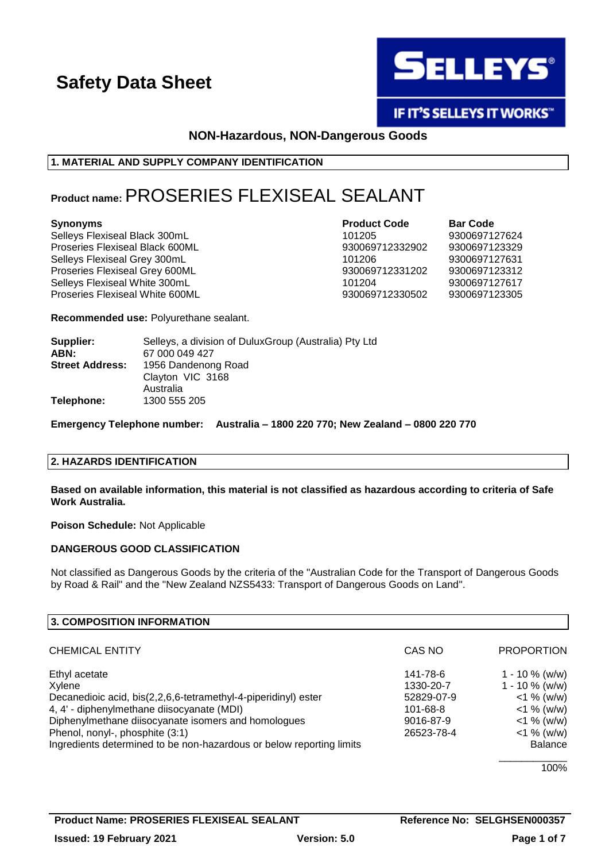

IF IT'S SELLEYS IT WORKS"

# **NON-Hazardous, NON-Dangerous Goods**

# **1. MATERIAL AND SUPPLY COMPANY IDENTIFICATION**

# **Product name:**PROSERIES FLEXISEAL SEALANT

Selleys Flexiseal Black 300mL 101205 9300697127624 Proseries Flexiseal Black 600ML 930069712332902 9300697123329 Selleys Flexiseal Grey 300mL 101206 9300697127631 Proseries Flexiseal Grey 600ML 930069712331202 9300697123312 Selleys Flexiseal White 300mL<br>Proseries Flexiseal White 600ML 101204 930069712330502 9300697123305 Proseries Flexiseal White 600ML 930069712330502 9300697123305

**Synonyms Product Code Bar Code**

**Recommended use:** Polyurethane sealant.

| Supplier:<br>ABN:      | Selleys, a division of Dulux Group (Australia) Pty Ltd<br>67 000 049 427 |
|------------------------|--------------------------------------------------------------------------|
| <b>Street Address:</b> | 1956 Dandenong Road                                                      |
|                        | Clayton VIC 3168<br>Australia                                            |
| Telephone:             | 1300 555 205                                                             |

**Emergency Telephone number: Australia – 1800 220 770; New Zealand – 0800 220 770**

## **2. HAZARDS IDENTIFICATION**

**Based on available information, this material is not classified as hazardous according to criteria of Safe Work Australia.**

**Poison Schedule:** Not Applicable

## **DANGEROUS GOOD CLASSIFICATION**

Not classified as Dangerous Goods by the criteria of the "Australian Code for the Transport of Dangerous Goods by Road & Rail" and the "New Zealand NZS5433: Transport of Dangerous Goods on Land".

| 3. COMPOSITION INFORMATION                                           |            |                   |
|----------------------------------------------------------------------|------------|-------------------|
| <b>CHEMICAL ENTITY</b>                                               | CAS NO     | <b>PROPORTION</b> |
| Ethyl acetate                                                        | 141-78-6   | $1 - 10 \%$ (w/w) |
| Xylene                                                               | 1330-20-7  | $1 - 10 \%$ (w/w) |
| Decanedioic acid, bis(2,2,6,6-tetramethyl-4-piperidinyl) ester       | 52829-07-9 | $<$ 1 % (w/w)     |
| 4, 4' - diphenylmethane diisocyanate (MDI)                           | 101-68-8   | $<$ 1 % (w/w)     |
| Diphenylmethane diisocyanate isomers and homologues                  | 9016-87-9  | $<$ 1 % (w/w)     |
| Phenol, nonyl-, phosphite (3:1)                                      | 26523-78-4 | $<$ 1 % (w/w)     |
| Ingredients determined to be non-hazardous or below reporting limits |            | <b>Balance</b>    |
|                                                                      |            | 100%              |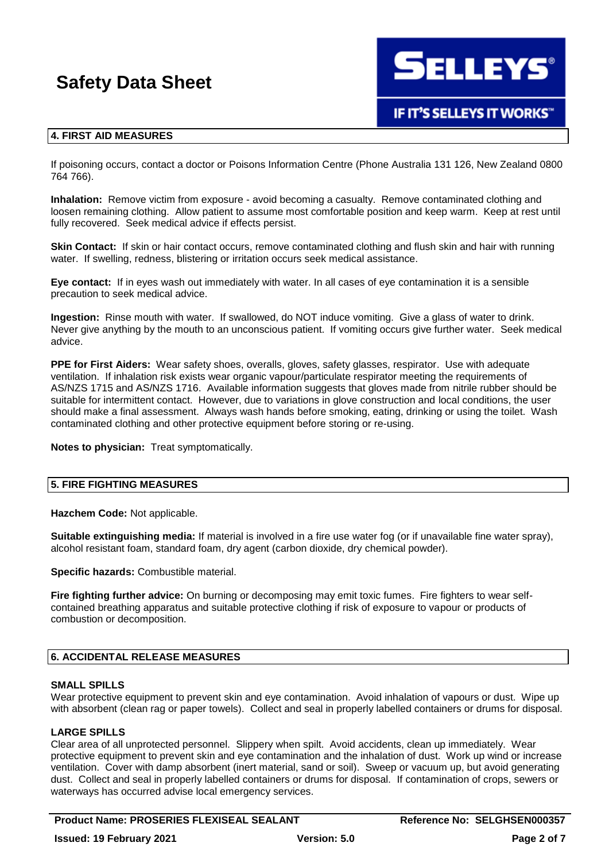**SELLEYS®** 

# **IF IT'S SELLEYS IT WORKS"**

# **4. FIRST AID MEASURES**

If poisoning occurs, contact a doctor or Poisons Information Centre (Phone Australia 131 126, New Zealand 0800 764 766).

**Inhalation:** Remove victim from exposure - avoid becoming a casualty. Remove contaminated clothing and loosen remaining clothing. Allow patient to assume most comfortable position and keep warm. Keep at rest until fully recovered. Seek medical advice if effects persist.

**Skin Contact:** If skin or hair contact occurs, remove contaminated clothing and flush skin and hair with running water. If swelling, redness, blistering or irritation occurs seek medical assistance.

**Eye contact:** If in eyes wash out immediately with water. In all cases of eye contamination it is a sensible precaution to seek medical advice.

**Ingestion:** Rinse mouth with water. If swallowed, do NOT induce vomiting. Give a glass of water to drink. Never give anything by the mouth to an unconscious patient. If vomiting occurs give further water. Seek medical advice.

**PPE for First Aiders:** Wear safety shoes, overalls, gloves, safety glasses, respirator. Use with adequate ventilation. If inhalation risk exists wear organic vapour/particulate respirator meeting the requirements of AS/NZS 1715 and AS/NZS 1716. Available information suggests that gloves made from nitrile rubber should be suitable for intermittent contact. However, due to variations in glove construction and local conditions, the user should make a final assessment. Always wash hands before smoking, eating, drinking or using the toilet. Wash contaminated clothing and other protective equipment before storing or re-using.

**Notes to physician:** Treat symptomatically.

## **5. FIRE FIGHTING MEASURES**

**Hazchem Code:** Not applicable.

**Suitable extinguishing media:** If material is involved in a fire use water fog (or if unavailable fine water spray), alcohol resistant foam, standard foam, dry agent (carbon dioxide, dry chemical powder).

**Specific hazards:** Combustible material.

**Fire fighting further advice:** On burning or decomposing may emit toxic fumes. Fire fighters to wear selfcontained breathing apparatus and suitable protective clothing if risk of exposure to vapour or products of combustion or decomposition.

## **6. ACCIDENTAL RELEASE MEASURES**

## **SMALL SPILLS**

Wear protective equipment to prevent skin and eye contamination. Avoid inhalation of vapours or dust. Wipe up with absorbent (clean rag or paper towels). Collect and seal in properly labelled containers or drums for disposal.

## **LARGE SPILLS**

Clear area of all unprotected personnel. Slippery when spilt. Avoid accidents, clean up immediately. Wear protective equipment to prevent skin and eye contamination and the inhalation of dust. Work up wind or increase ventilation. Cover with damp absorbent (inert material, sand or soil). Sweep or vacuum up, but avoid generating dust. Collect and seal in properly labelled containers or drums for disposal. If contamination of crops, sewers or waterways has occurred advise local emergency services.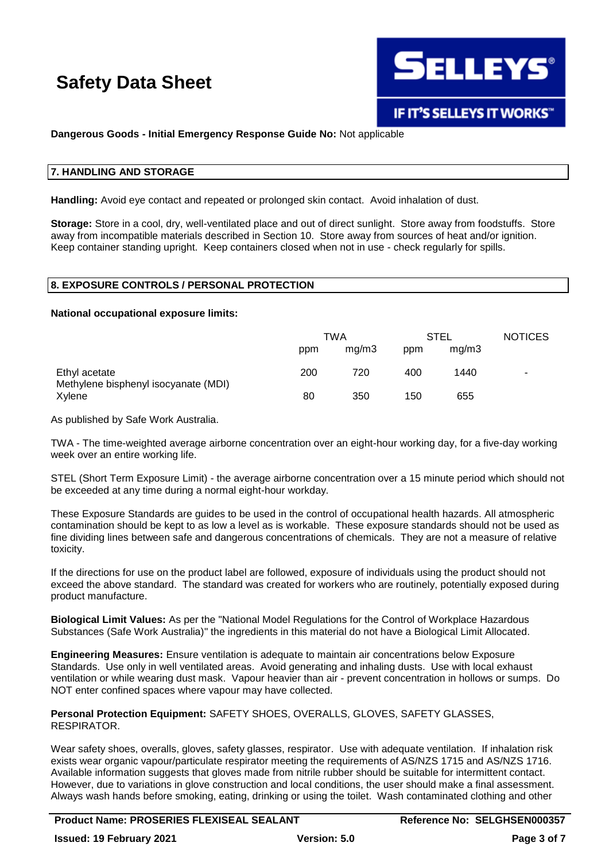

# **Dangerous Goods - Initial Emergency Response Guide No:** Not applicable

### **7. HANDLING AND STORAGE**

**Handling:** Avoid eye contact and repeated or prolonged skin contact. Avoid inhalation of dust.

**Storage:** Store in a cool, dry, well-ventilated place and out of direct sunlight. Store away from foodstuffs. Store away from incompatible materials described in Section 10. Store away from sources of heat and/or ignition. Keep container standing upright. Keep containers closed when not in use - check regularly for spills.

# **8. EXPOSURE CONTROLS / PERSONAL PROTECTION**

#### **National occupational exposure limits:**

|                                                       | TWA |       | STEL |       | <b>NOTICES</b> |
|-------------------------------------------------------|-----|-------|------|-------|----------------|
|                                                       | ppm | mq/m3 | ppm  | mq/m3 |                |
| Ethyl acetate<br>Methylene bisphenyl isocyanate (MDI) | 200 | 720   | 400  | 1440  | ۰              |
| Xvlene                                                | 80  | 350   | 150  | 655   |                |

As published by Safe Work Australia.

TWA - The time-weighted average airborne concentration over an eight-hour working day, for a five-day working week over an entire working life.

STEL (Short Term Exposure Limit) - the average airborne concentration over a 15 minute period which should not be exceeded at any time during a normal eight-hour workday.

These Exposure Standards are guides to be used in the control of occupational health hazards. All atmospheric contamination should be kept to as low a level as is workable. These exposure standards should not be used as fine dividing lines between safe and dangerous concentrations of chemicals. They are not a measure of relative toxicity.

If the directions for use on the product label are followed, exposure of individuals using the product should not exceed the above standard. The standard was created for workers who are routinely, potentially exposed during product manufacture.

**Biological Limit Values:** As per the "National Model Regulations for the Control of Workplace Hazardous Substances (Safe Work Australia)" the ingredients in this material do not have a Biological Limit Allocated.

**Engineering Measures:** Ensure ventilation is adequate to maintain air concentrations below Exposure Standards. Use only in well ventilated areas. Avoid generating and inhaling dusts. Use with local exhaust ventilation or while wearing dust mask. Vapour heavier than air - prevent concentration in hollows or sumps. Do NOT enter confined spaces where vapour may have collected.

**Personal Protection Equipment:** SAFETY SHOES, OVERALLS, GLOVES, SAFETY GLASSES, RESPIRATOR.

Wear safety shoes, overalls, gloves, safety glasses, respirator. Use with adequate ventilation. If inhalation risk exists wear organic vapour/particulate respirator meeting the requirements of AS/NZS 1715 and AS/NZS 1716. Available information suggests that gloves made from nitrile rubber should be suitable for intermittent contact. However, due to variations in glove construction and local conditions, the user should make a final assessment. Always wash hands before smoking, eating, drinking or using the toilet. Wash contaminated clothing and other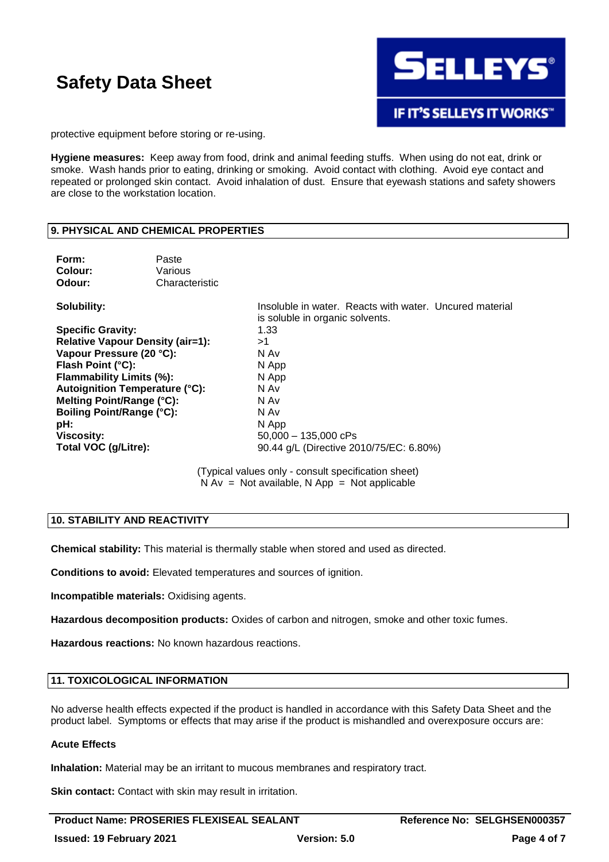

protective equipment before storing or re-using.

**Hygiene measures:** Keep away from food, drink and animal feeding stuffs. When using do not eat, drink or smoke. Wash hands prior to eating, drinking or smoking. Avoid contact with clothing. Avoid eye contact and repeated or prolonged skin contact. Avoid inhalation of dust. Ensure that eyewash stations and safety showers are close to the workstation location.

## **9. PHYSICAL AND CHEMICAL PROPERTIES**

| Form:<br>Colour:<br>Odour:              | Paste<br>Various<br>Characteristic |                                                                                            |
|-----------------------------------------|------------------------------------|--------------------------------------------------------------------------------------------|
| Solubility:                             |                                    | Insoluble in water. Reacts with water. Uncured material<br>is soluble in organic solvents. |
| <b>Specific Gravity:</b>                |                                    | 1.33                                                                                       |
| <b>Relative Vapour Density (air=1):</b> |                                    | >1                                                                                         |
| Vapour Pressure (20 °C):                |                                    | N Av                                                                                       |
| Flash Point (°C):                       |                                    | N App                                                                                      |
| Flammability Limits (%):                |                                    | N App                                                                                      |
| Autoignition Temperature (°C):          |                                    | N Av                                                                                       |
| Melting Point/Range (°C):               |                                    | N Av                                                                                       |
| Boiling Point/Range (°C):               |                                    | N Av                                                                                       |
| pH:                                     |                                    | N App                                                                                      |
| <b>Viscosity:</b>                       |                                    | $50.000 - 135.000$ cPs                                                                     |
| Total VOC (g/Litre):                    |                                    | 90.44 g/L (Directive 2010/75/EC: 6.80%)                                                    |

(Typical values only - consult specification sheet)  $N Av = Not available, N App = Not applicable$ 

# **10. STABILITY AND REACTIVITY**

**Chemical stability:** This material is thermally stable when stored and used as directed.

**Conditions to avoid:** Elevated temperatures and sources of ignition.

**Incompatible materials:** Oxidising agents.

**Hazardous decomposition products:** Oxides of carbon and nitrogen, smoke and other toxic fumes.

**Hazardous reactions:** No known hazardous reactions.

#### **11. TOXICOLOGICAL INFORMATION**

No adverse health effects expected if the product is handled in accordance with this Safety Data Sheet and the product label. Symptoms or effects that may arise if the product is mishandled and overexposure occurs are:

### **Acute Effects**

**Inhalation:** Material may be an irritant to mucous membranes and respiratory tract.

**Skin contact:** Contact with skin may result in irritation.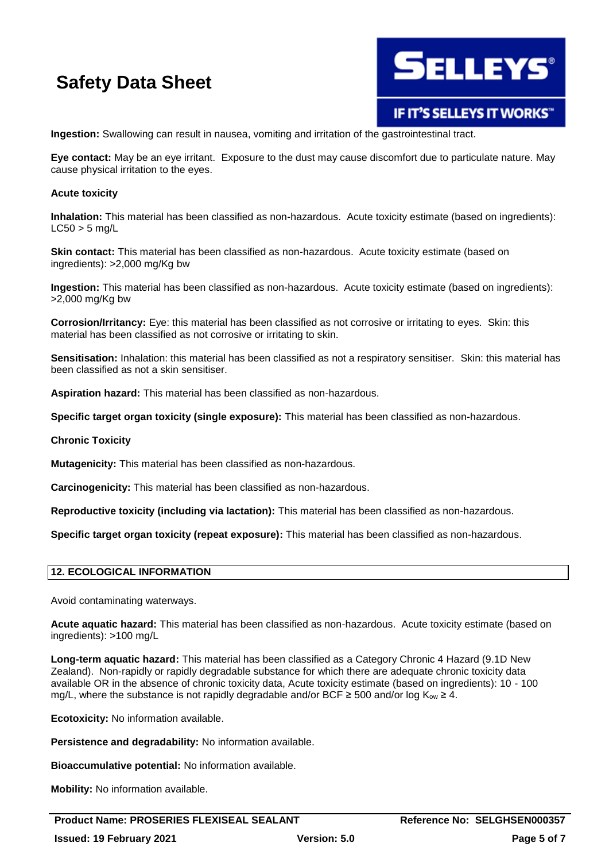

IF IT'S SELLEYS IT WORKS"

**Ingestion:** Swallowing can result in nausea, vomiting and irritation of the gastrointestinal tract.

**Eye contact:** May be an eye irritant. Exposure to the dust may cause discomfort due to particulate nature. May cause physical irritation to the eyes.

### **Acute toxicity**

**Inhalation:** This material has been classified as non-hazardous. Acute toxicity estimate (based on ingredients):  $LC50 > 5$  mg/L

**Skin contact:** This material has been classified as non-hazardous. Acute toxicity estimate (based on ingredients): >2,000 mg/Kg bw

**Ingestion:** This material has been classified as non-hazardous. Acute toxicity estimate (based on ingredients): >2,000 mg/Kg bw

**Corrosion/Irritancy:** Eye: this material has been classified as not corrosive or irritating to eyes. Skin: this material has been classified as not corrosive or irritating to skin.

**Sensitisation:** Inhalation: this material has been classified as not a respiratory sensitiser. Skin: this material has been classified as not a skin sensitiser.

**Aspiration hazard:** This material has been classified as non-hazardous.

**Specific target organ toxicity (single exposure):** This material has been classified as non-hazardous.

#### **Chronic Toxicity**

**Mutagenicity:** This material has been classified as non-hazardous.

**Carcinogenicity:** This material has been classified as non-hazardous.

**Reproductive toxicity (including via lactation):** This material has been classified as non-hazardous.

**Specific target organ toxicity (repeat exposure):** This material has been classified as non-hazardous.

#### **12. ECOLOGICAL INFORMATION**

Avoid contaminating waterways.

**Acute aquatic hazard:** This material has been classified as non-hazardous. Acute toxicity estimate (based on ingredients): >100 mg/L

**Long-term aquatic hazard:** This material has been classified as a Category Chronic 4 Hazard (9.1D New Zealand). Non-rapidly or rapidly degradable substance for which there are adequate chronic toxicity data available OR in the absence of chronic toxicity data, Acute toxicity estimate (based on ingredients): 10 - 100 mg/L, where the substance is not rapidly degradable and/or BCF  $\geq$  500 and/or log K<sub>ow</sub>  $\geq$  4.

**Ecotoxicity:** No information available.

**Persistence and degradability:** No information available.

**Bioaccumulative potential:** No information available.

**Mobility:** No information available.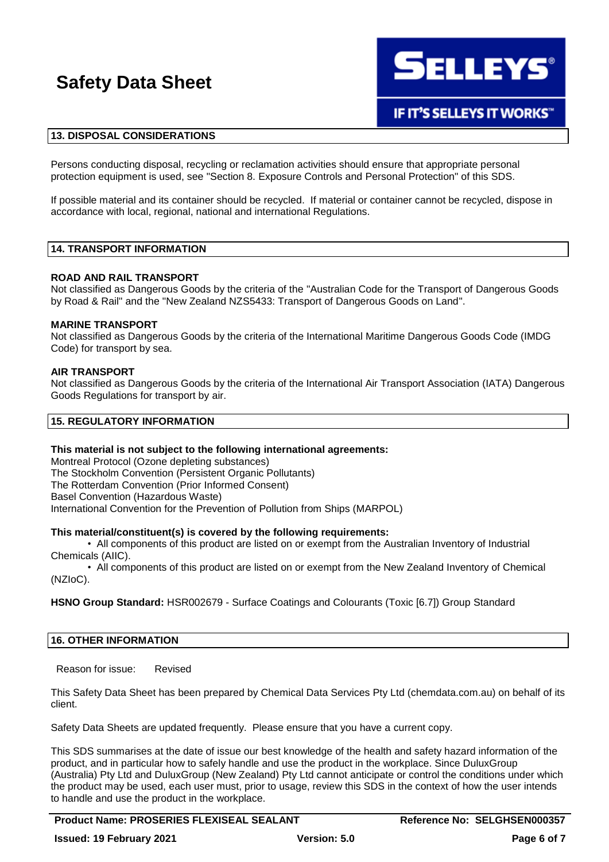

## **13. DISPOSAL CONSIDERATIONS**

Persons conducting disposal, recycling or reclamation activities should ensure that appropriate personal protection equipment is used, see "Section 8. Exposure Controls and Personal Protection" of this SDS.

If possible material and its container should be recycled. If material or container cannot be recycled, dispose in accordance with local, regional, national and international Regulations.

#### **14. TRANSPORT INFORMATION**

#### **ROAD AND RAIL TRANSPORT**

Not classified as Dangerous Goods by the criteria of the "Australian Code for the Transport of Dangerous Goods by Road & Rail" and the "New Zealand NZS5433: Transport of Dangerous Goods on Land".

#### **MARINE TRANSPORT**

Not classified as Dangerous Goods by the criteria of the International Maritime Dangerous Goods Code (IMDG Code) for transport by sea.

#### **AIR TRANSPORT**

Not classified as Dangerous Goods by the criteria of the International Air Transport Association (IATA) Dangerous Goods Regulations for transport by air.

#### **15. REGULATORY INFORMATION**

#### **This material is not subject to the following international agreements:**

Montreal Protocol (Ozone depleting substances) The Stockholm Convention (Persistent Organic Pollutants) The Rotterdam Convention (Prior Informed Consent) Basel Convention (Hazardous Waste) International Convention for the Prevention of Pollution from Ships (MARPOL)

#### **This material/constituent(s) is covered by the following requirements:**

• All components of this product are listed on or exempt from the Australian Inventory of Industrial Chemicals (AIIC).

• All components of this product are listed on or exempt from the New Zealand Inventory of Chemical (NZIoC).

**HSNO Group Standard:** HSR002679 - Surface Coatings and Colourants (Toxic [6.7]) Group Standard

#### **16. OTHER INFORMATION**

Reason for issue: Revised

This Safety Data Sheet has been prepared by Chemical Data Services Pty Ltd (chemdata.com.au) on behalf of its client.

Safety Data Sheets are updated frequently. Please ensure that you have a current copy.

This SDS summarises at the date of issue our best knowledge of the health and safety hazard information of the product, and in particular how to safely handle and use the product in the workplace. Since DuluxGroup (Australia) Pty Ltd and DuluxGroup (New Zealand) Pty Ltd cannot anticipate or control the conditions under which the product may be used, each user must, prior to usage, review this SDS in the context of how the user intends to handle and use the product in the workplace.